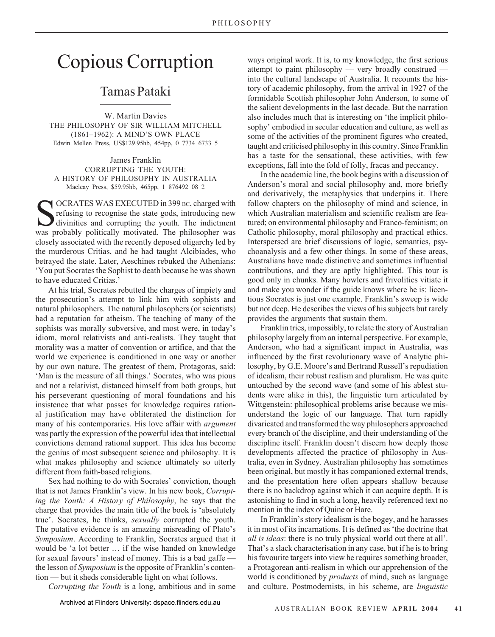## Copious Corruption

## Tamas Pataki

W. Martin Davies THE PHILOSOPHY OF SIR WILLIAM MITCHELL (1861–1962): A MIND'S OWN PLACE Edwin Mellen Press, US\$129.95hb, 454pp, 0 7734 6733 5

James Franklin CORRUPTING THE YOUTH: A HISTORY OF PHILOSOPHY IN AUSTRALIA Macleay Press, \$59.95hb, 465pp, 1 876492 08 2

OCRATES WAS EXECUTED in 399 BC, charged with refusing to recognise the state gods, introducing new divinities and corrupting the youth. The indictment was probably politically motivated. The philosopher was closely associated with the recently deposed oligarchy led by the murderous Critias, and he had taught Alcibiades, who betrayed the state. Later, Aeschines rebuked the Athenians: 'You put Socrates the Sophist to death because he was shown to have educated Critias.'

At his trial, Socrates rebutted the charges of impiety and the prosecution's attempt to link him with sophists and natural philosophers. The natural philosophers (or scientists) had a reputation for atheism. The teaching of many of the sophists was morally subversive, and most were, in today's idiom, moral relativists and anti-realists. They taught that morality was a matter of convention or artifice, and that the world we experience is conditioned in one way or another by our own nature. The greatest of them, Protagoras, said: 'Man is the measure of all things.' Socrates, who was pious and not a relativist, distanced himself from both groups, but his perseverant questioning of moral foundations and his insistence that what passes for knowledge requires rational justification may have obliterated the distinction for many of his contemporaries. His love affair with *argument* was partly the expression of the powerful idea that intellectual convictions demand rational support. This idea has become the genius of most subsequent science and philosophy. It is what makes philosophy and science ultimately so utterly different from faith-based religions.

Sex had nothing to do with Socrates' conviction, though that is not James Franklin's view. In his new book, *Corrupting the Youth: A History of Philosophy*, he says that the charge that provides the main title of the book is 'absolutely true'. Socrates, he thinks, *sexually* corrupted the youth. The putative evidence is an amazing misreading of Plato's *Symposium*. According to Franklin, Socrates argued that it would be 'a lot better … if the wise handed on knowledge for sexual favours' instead of money. This is a bad gaffe the lesson of *Symposium* is the opposite of Franklin's contention — but it sheds considerable light on what follows.

*Corrupting the Youth* is a long, ambitious and in some

ways original work. It is, to my knowledge, the first serious attempt to paint philosophy — very broadly construed into the cultural landscape of Australia. It recounts the history of academic philosophy, from the arrival in 1927 of the formidable Scottish philosopher John Anderson, to some of the salient developments in the last decade. But the narration also includes much that is interesting on 'the implicit philosophy' embodied in secular education and culture, as well as some of the activities of the prominent figures who created, taught and criticised philosophy in this country. Since Franklin has a taste for the sensational, these activities, with few exceptions, fall into the fold of folly, fracas and peccancy.

In the academic line, the book begins with a discussion of Anderson's moral and social philosophy and, more briefly and derivatively, the metaphysics that underpins it. There follow chapters on the philosophy of mind and science, in which Australian materialism and scientific realism are featured; on environmental philosophy and Franco-feminism; on Catholic philosophy, moral philosophy and practical ethics. Interspersed are brief discussions of logic, semantics, psychoanalysis and a few other things. In some of these areas, Australians have made distinctive and sometimes influential contributions, and they are aptly highlighted. This tour is good only in chunks. Many howlers and frivolities vitiate it and make you wonder if the guide knows where he is: licentious Socrates is just one example. Franklin's sweep is wide but not deep. He describes the views of his subjects but rarely provides the arguments that sustain them.

Franklin tries, impossibly, to relate the story of Australian philosophy largely from an internal perspective. For example, Anderson, who had a significant impact in Australia, was influenced by the first revolutionary wave of Analytic philosophy, by G.E. Moore's and Bertrand Russell's repudiation of idealism, their robust realism and pluralism. He was quite untouched by the second wave (and some of his ablest students were alike in this), the linguistic turn articulated by Wittgenstein: philosophical problems arise because we misunderstand the logic of our language. That turn rapidly divaricated and transformed the way philosophers approached every branch of the discipline, and their understanding of the discipline itself. Franklin doesn't discern how deeply those developments affected the practice of philosophy in Australia, even in Sydney. Australian philosophy has sometimes been original, but mostly it has companioned external trends, and the presentation here often appears shallow because there is no backdrop against which it can acquire depth. It is astonishing to find in such a long, heavily referenced text no mention in the index of Quine or Hare.

In Franklin's story idealism is the bogey, and he harasses it in most of its incarnations. It is defined as 'the doctrine that *all is ideas*: there is no truly physical world out there at all'. That's a slack characterisation in any case, but if he is to bring his favourite targets into view he requires something broader, a Protagorean anti-realism in which our apprehension of the world is conditioned by *products* of mind, such as language and culture. Postmodernists, in his scheme, are *linguistic*